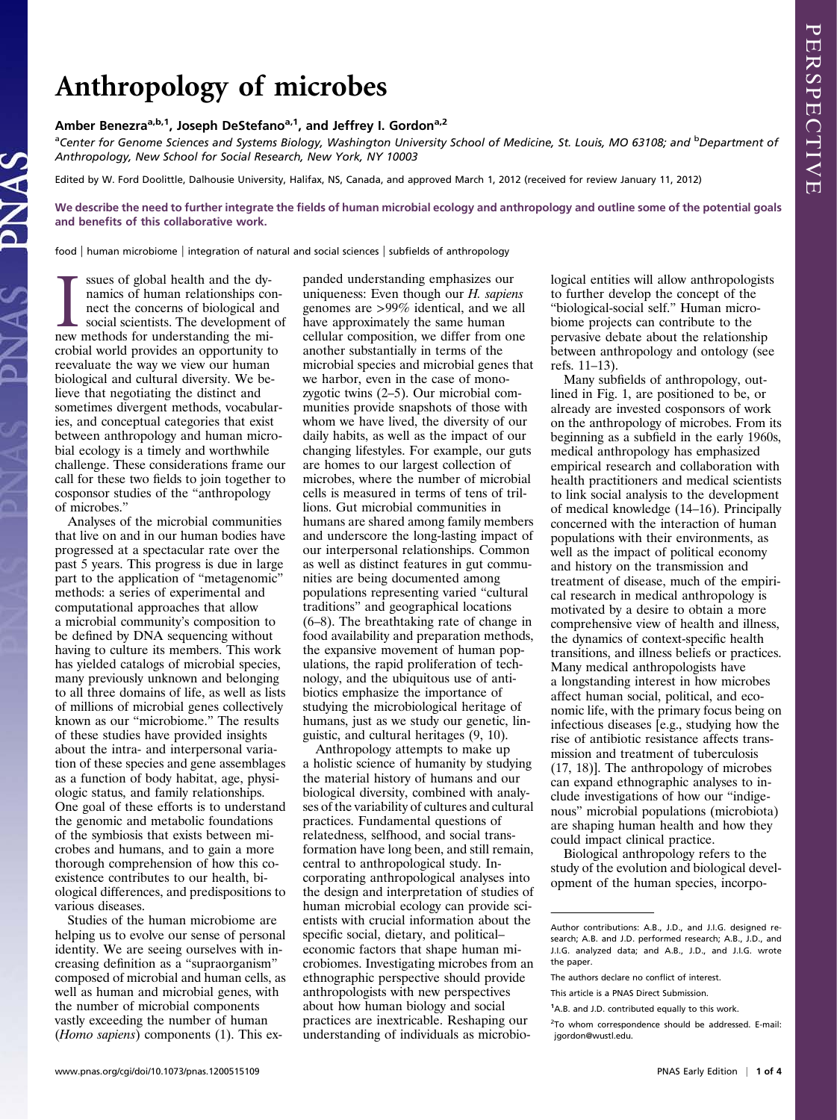# Anthropology of Microbes of Microbes of Microbes<br>Amber Benezra<sup>a,b,1</sup>, Joseph DeStefano<sup>a,1</sup>, and Jeffrey I. Gordon<sup>a,2</sup>

<sup>a</sup>Center for Genome Sciences and Systems Biology, Washington University School of Medicine, St. Louis, MO 63108; and <sup>b</sup>Department of Anthropology, New School for Social Research, New York, NY 10003

Edited by W. Ford Doolittle, Dalhousie University, Halifax, NS, Canada, and approved March 1, 2012 (received for review January 11, 2012)

We describe the need to further integrate the fields of human microbial ecology and anthropology and outline some of the potential goals and benefits of this collaborative work.

food | human microbiome | integration of natural and social sciences | subfields of anthropology

ssues of global health and the dynamics of human relationships conect the concerns of biological an social scientists. The development new methods for understanding the missues of global health and the dynamics of human relationships connect the concerns of biological and social scientists. The development of crobial world provides an opportunity to reevaluate the way we view our human biological and cultural diversity. We believe that negotiating the distinct and sometimes divergent methods, vocabularies, and conceptual categories that exist between anthropology and human microbial ecology is a timely and worthwhile challenge. These considerations frame our call for these two fields to join together to cosponsor studies of the "anthropology of microbes."

Analyses of the microbial communities that live on and in our human bodies have progressed at a spectacular rate over the past 5 years. This progress is due in large part to the application of "metagenomic" methods: a series of experimental and computational approaches that allow a microbial community's composition to be defined by DNA sequencing without having to culture its members. This work has yielded catalogs of microbial species, many previously unknown and belonging to all three domains of life, as well as lists of millions of microbial genes collectively known as our "microbiome." The results of these studies have provided insights about the intra- and interpersonal variation of these species and gene assemblages as a function of body habitat, age, physiologic status, and family relationships. One goal of these efforts is to understand the genomic and metabolic foundations of the symbiosis that exists between microbes and humans, and to gain a more thorough comprehension of how this coexistence contributes to our health, biological differences, and predispositions to various diseases.

Studies of the human microbiome are helping us to evolve our sense of personal identity. We are seeing ourselves with increasing definition as a "supraorganism" composed of microbial and human cells, as well as human and microbial genes, with the number of microbial components vastly exceeding the number of human (Homo sapiens) components (1). This expanded understanding emphasizes our uniqueness: Even though our H. sapiens genomes are >99% identical, and we all have approximately the same human cellular composition, we differ from one another substantially in terms of the microbial species and microbial genes that we harbor, even in the case of monozygotic twins (2–5). Our microbial communities provide snapshots of those with whom we have lived, the diversity of our daily habits, as well as the impact of our changing lifestyles. For example, our guts are homes to our largest collection of microbes, where the number of microbial cells is measured in terms of tens of trillions. Gut microbial communities in humans are shared among family members and underscore the long-lasting impact of our interpersonal relationships. Common as well as distinct features in gut communities are being documented among populations representing varied "cultural traditions" and geographical locations (6–8). The breathtaking rate of change in food availability and preparation methods, the expansive movement of human populations, the rapid proliferation of technology, and the ubiquitous use of antibiotics emphasize the importance of studying the microbiological heritage of humans, just as we study our genetic, linguistic, and cultural heritages (9, 10).

Anthropology attempts to make up a holistic science of humanity by studying the material history of humans and our biological diversity, combined with analyses of the variability of cultures and cultural practices. Fundamental questions of relatedness, selfhood, and social transformation have long been, and still remain, central to anthropological study. Incorporating anthropological analyses into the design and interpretation of studies of human microbial ecology can provide scientists with crucial information about the specific social, dietary, and political– economic factors that shape human microbiomes. Investigating microbes from an ethnographic perspective should provide anthropologists with new perspectives about how human biology and social practices are inextricable. Reshaping our understanding of individuals as microbiological entities will allow anthropologists to further develop the concept of the "biological-social self." Human microbiome projects can contribute to the pervasive debate about the relationship between anthropology and ontology (see refs. 11–13).

Many subfields of anthropology, outlined in Fig. 1, are positioned to be, or already are invested cosponsors of work on the anthropology of microbes. From its beginning as a subfield in the early 1960s, medical anthropology has emphasized empirical research and collaboration with health practitioners and medical scientists to link social analysis to the development of medical knowledge (14–16). Principally concerned with the interaction of human populations with their environments, as well as the impact of political economy and history on the transmission and treatment of disease, much of the empirical research in medical anthropology is motivated by a desire to obtain a more comprehensive view of health and illness, the dynamics of context-specific health transitions, and illness beliefs or practices. Many medical anthropologists have a longstanding interest in how microbes affect human social, political, and economic life, with the primary focus being on infectious diseases [e.g., studying how the rise of antibiotic resistance affects transmission and treatment of tuberculosis (17, 18)]. The anthropology of microbes can expand ethnographic analyses to include investigations of how our "indigenous" microbial populations (microbiota) are shaping human health and how they could impact clinical practice.

Biological anthropology refers to the study of the evolution and biological development of the human species, incorpo-

Author contributions: A.B., J.D., and J.I.G. designed research; A.B. and J.D. performed research; A.B., J.D., and J.I.G. analyzed data; and A.B., J.D., and J.I.G. wrote the paper.

The authors declare no conflict of interest.

This article is a PNAS Direct Submission.

<sup>&</sup>lt;sup>1</sup>A.B. and J.D. contributed equally to this work.

<sup>&</sup>lt;sup>2</sup>To whom correspondence should be addressed. E-mail: [jgordon@wustl.edu](mailto:jgordon@wustl.edu).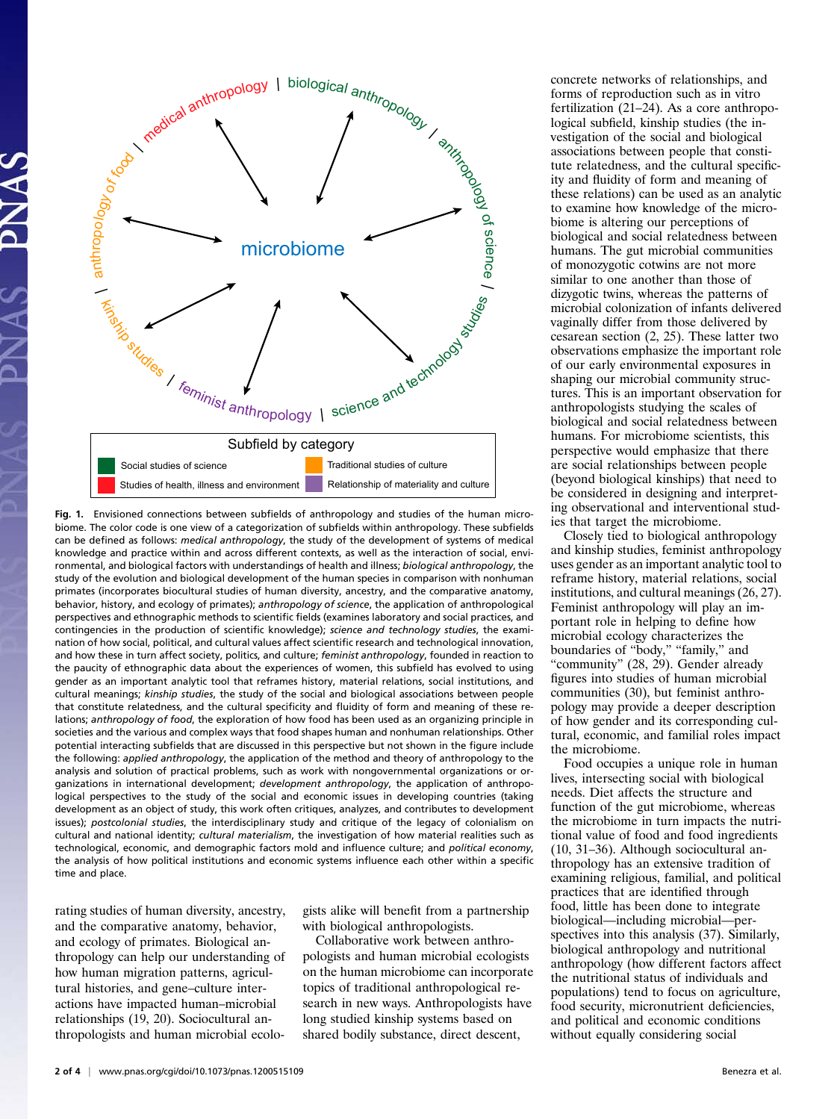

Fig. 1. Envisioned connections between subfields of anthropology and studies of the human microbiome. The color code is one view of a categorization of subfields within anthropology. These subfields can be defined as follows: medical anthropology, the study of the development of systems of medical knowledge and practice within and across different contexts, as well as the interaction of social, environmental, and biological factors with understandings of health and illness; biological anthropology, the study of the evolution and biological development of the human species in comparison with nonhuman primates (incorporates biocultural studies of human diversity, ancestry, and the comparative anatomy, behavior, history, and ecology of primates); anthropology of science, the application of anthropological perspectives and ethnographic methods to scientific fields (examines laboratory and social practices, and contingencies in the production of scientific knowledge); science and technology studies, the examination of how social, political, and cultural values affect scientific research and technological innovation, and how these in turn affect society, politics, and culture; feminist anthropology, founded in reaction to the paucity of ethnographic data about the experiences of women, this subfield has evolved to using gender as an important analytic tool that reframes history, material relations, social institutions, and cultural meanings; kinship studies, the study of the social and biological associations between people that constitute relatedness, and the cultural specificity and fluidity of form and meaning of these relations; anthropology of food, the exploration of how food has been used as an organizing principle in societies and the various and complex ways that food shapes human and nonhuman relationships. Other potential interacting subfields that are discussed in this perspective but not shown in the figure include the following: applied anthropology, the application of the method and theory of anthropology to the analysis and solution of practical problems, such as work with nongovernmental organizations or organizations in international development; development anthropology, the application of anthropological perspectives to the study of the social and economic issues in developing countries (taking development as an object of study, this work often critiques, analyzes, and contributes to development issues); postcolonial studies, the interdisciplinary study and critique of the legacy of colonialism on cultural and national identity; cultural materialism, the investigation of how material realities such as technological, economic, and demographic factors mold and influence culture; and political economy, the analysis of how political institutions and economic systems influence each other within a specific time and place.

rating studies of human diversity, ancestry, and the comparative anatomy, behavior, and ecology of primates. Biological anthropology can help our understanding of how human migration patterns, agricultural histories, and gene–culture interactions have impacted human–microbial relationships (19, 20). Sociocultural anthropologists and human microbial ecologists alike will benefit from a partnership with biological anthropologists.

Collaborative work between anthropologists and human microbial ecologists on the human microbiome can incorporate topics of traditional anthropological research in new ways. Anthropologists have long studied kinship systems based on shared bodily substance, direct descent,

concrete networks of relationships, and forms of reproduction such as in vitro fertilization (21–24). As a core anthropological subfield, kinship studies (the investigation of the social and biological associations between people that constitute relatedness, and the cultural specificity and fluidity of form and meaning of these relations) can be used as an analytic to examine how knowledge of the microbiome is altering our perceptions of biological and social relatedness between humans. The gut microbial communities of monozygotic cotwins are not more similar to one another than those of dizygotic twins, whereas the patterns of microbial colonization of infants delivered vaginally differ from those delivered by cesarean section (2, 25). These latter two observations emphasize the important role of our early environmental exposures in shaping our microbial community structures. This is an important observation for anthropologists studying the scales of biological and social relatedness between humans. For microbiome scientists, this perspective would emphasize that there are social relationships between people (beyond biological kinships) that need to be considered in designing and interpreting observational and interventional studies that target the microbiome.

Closely tied to biological anthropology and kinship studies, feminist anthropology uses gender as an important analytic tool to reframe history, material relations, social institutions, and cultural meanings (26, 27). Feminist anthropology will play an important role in helping to define how microbial ecology characterizes the boundaries of "body," "family," and "community" (28, 29). Gender already figures into studies of human microbial communities (30), but feminist anthropology may provide a deeper description of how gender and its corresponding cultural, economic, and familial roles impact the microbiome.

Food occupies a unique role in human lives, intersecting social with biological needs. Diet affects the structure and function of the gut microbiome, whereas the microbiome in turn impacts the nutritional value of food and food ingredients (10, 31–36). Although sociocultural anthropology has an extensive tradition of examining religious, familial, and political practices that are identified through food, little has been done to integrate biological—including microbial—perspectives into this analysis (37). Similarly, biological anthropology and nutritional anthropology (how different factors affect the nutritional status of individuals and populations) tend to focus on agriculture, food security, micronutrient deficiencies, and political and economic conditions without equally considering social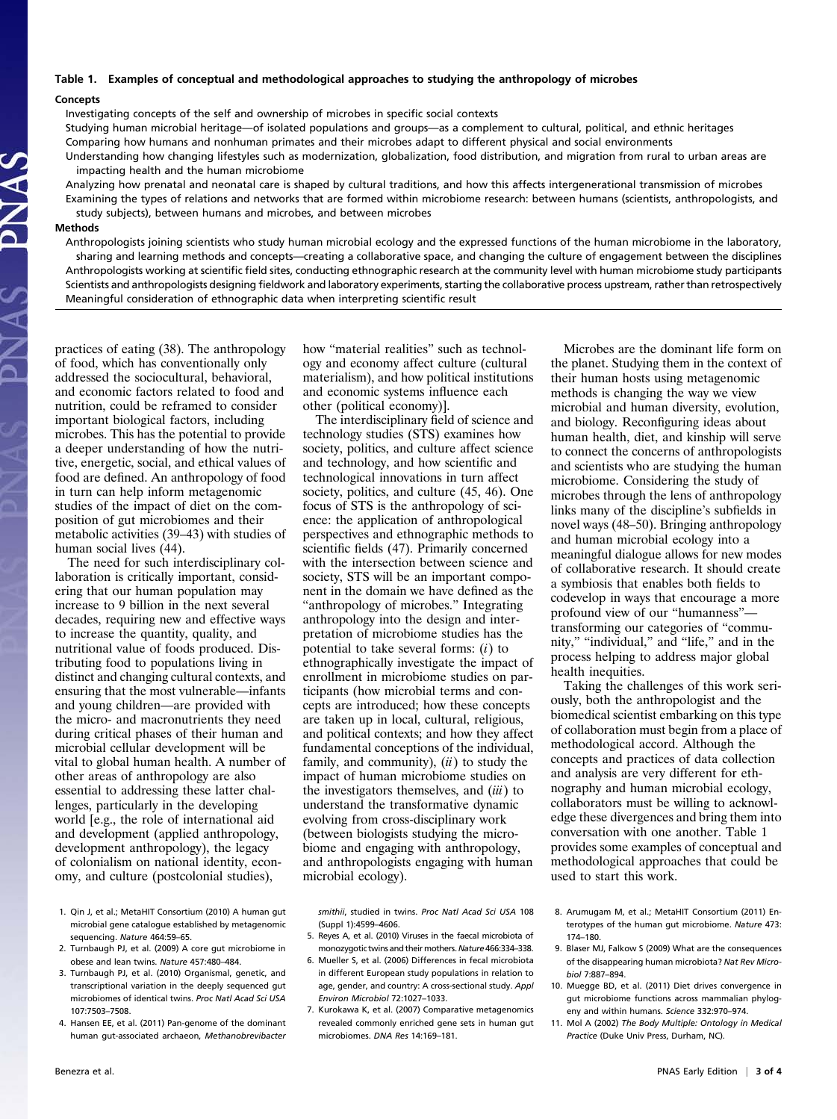## Table 1. Examples of conceptual and methodological approaches to studying the anthropology of microbes

#### **Concepts**

Investigating concepts of the self and ownership of microbes in specific social contexts

Studying human microbial heritage—of isolated populations and groups—as a complement to cultural, political, and ethnic heritages Comparing how humans and nonhuman primates and their microbes adapt to different physical and social environments

Understanding how changing lifestyles such as modernization, globalization, food distribution, and migration from rural to urban areas are impacting health and the human microbiome

Analyzing how prenatal and neonatal care is shaped by cultural traditions, and how this affects intergenerational transmission of microbes Examining the types of relations and networks that are formed within microbiome research: between humans (scientists, anthropologists, and study subjects), between humans and microbes, and between microbes

## **Methods**

Anthropologists joining scientists who study human microbial ecology and the expressed functions of the human microbiome in the laboratory, sharing and learning methods and concepts—creating a collaborative space, and changing the culture of engagement between the disciplines Anthropologists working at scientific field sites, conducting ethnographic research at the community level with human microbiome study participants Scientists and anthropologists designing fieldwork and laboratory experiments, starting the collaborative process upstream, rather than retrospectively Meaningful consideration of ethnographic data when interpreting scientific result

practices of eating (38). The anthropology of food, which has conventionally only addressed the sociocultural, behavioral, and economic factors related to food and nutrition, could be reframed to consider important biological factors, including microbes. This has the potential to provide a deeper understanding of how the nutritive, energetic, social, and ethical values of food are defined. An anthropology of food in turn can help inform metagenomic studies of the impact of diet on the composition of gut microbiomes and their metabolic activities (39–43) with studies of human social lives (44).

The need for such interdisciplinary collaboration is critically important, considering that our human population may increase to 9 billion in the next several decades, requiring new and effective ways to increase the quantity, quality, and nutritional value of foods produced. Distributing food to populations living in distinct and changing cultural contexts, and ensuring that the most vulnerable—infants and young children—are provided with the micro- and macronutrients they need during critical phases of their human and microbial cellular development will be vital to global human health. A number of other areas of anthropology are also essential to addressing these latter challenges, particularly in the developing world [e.g., the role of international aid and development (applied anthropology, development anthropology), the legacy of colonialism on national identity, economy, and culture (postcolonial studies),

- 1. Qin J, et al.; MetaHIT Consortium (2010) A human gut microbial gene catalogue established by metagenomic sequencing. Nature 464:59–65.
- 2. Turnbaugh PJ, et al. (2009) A core gut microbiome in obese and lean twins. Nature 457:480–484.
- 3. Turnbaugh PJ, et al. (2010) Organismal, genetic, and transcriptional variation in the deeply sequenced gut microbiomes of identical twins. Proc Natl Acad Sci USA 107:7503–7508.
- 4. Hansen EE, et al. (2011) Pan-genome of the dominant human gut-associated archaeon, Methanobrevibacter

how "material realities" such as technology and economy affect culture (cultural materialism), and how political institutions and economic systems influence each other (political economy)].

The interdisciplinary field of science and technology studies (STS) examines how society, politics, and culture affect science and technology, and how scientific and technological innovations in turn affect society, politics, and culture  $(45, 46)$ . One focus of STS is the anthropology of science: the application of anthropological perspectives and ethnographic methods to scientific fields (47). Primarily concerned with the intersection between science and society, STS will be an important component in the domain we have defined as the "anthropology of microbes." Integrating anthropology into the design and interpretation of microbiome studies has the potential to take several forms: (i) to ethnographically investigate the impact of enrollment in microbiome studies on participants (how microbial terms and concepts are introduced; how these concepts are taken up in local, cultural, religious, and political contexts; and how they affect fundamental conceptions of the individual, family, and community),  $(ii)$  to study the impact of human microbiome studies on the investigators themselves, and  $(iii)$  to understand the transformative dynamic evolving from cross-disciplinary work (between biologists studying the microbiome and engaging with anthropology, and anthropologists engaging with human microbial ecology).

smithii, studied in twins. Proc Natl Acad Sci USA 108 (Suppl 1):4599–4606.

- 5. Reyes A, et al. (2010) Viruses in the faecal microbiota of monozygotic twins and their mothers. Nature 466:334-338.
- 6. Mueller S, et al. (2006) Differences in fecal microbiota in different European study populations in relation to age, gender, and country: A cross-sectional study. Appl Environ Microbiol 72:1027–1033.
- 7. Kurokawa K, et al. (2007) Comparative metagenomics revealed commonly enriched gene sets in human gut microbiomes. DNA Res 14:169–181.

Microbes are the dominant life form on the planet. Studying them in the context of their human hosts using metagenomic methods is changing the way we view microbial and human diversity, evolution, and biology. Reconfiguring ideas about human health, diet, and kinship will serve to connect the concerns of anthropologists and scientists who are studying the human microbiome. Considering the study of microbes through the lens of anthropology links many of the discipline's subfields in novel ways (48–50). Bringing anthropology and human microbial ecology into a meaningful dialogue allows for new modes of collaborative research. It should create a symbiosis that enables both fields to codevelop in ways that encourage a more profound view of our "humanness" transforming our categories of "community," "individual," and "life," and in the process helping to address major global health inequities.

Taking the challenges of this work seriously, both the anthropologist and the biomedical scientist embarking on this type of collaboration must begin from a place of methodological accord. Although the concepts and practices of data collection and analysis are very different for ethnography and human microbial ecology, collaborators must be willing to acknowledge these divergences and bring them into conversation with one another. Table 1 provides some examples of conceptual and methodological approaches that could be used to start this work.

- 8. Arumugam M, et al.; MetaHIT Consortium (2011) Enterotypes of the human gut microbiome. Nature 473: 174–180.
- 9. Blaser MJ, Falkow S (2009) What are the consequences of the disappearing human microbiota? Nat Rev Microbiol 7:887–894.
- 10. Muegge BD, et al. (2011) Diet drives convergence in gut microbiome functions across mammalian phylogeny and within humans. Science 332:970–974.
- 11. Mol A (2002) The Body Multiple: Ontology in Medical Practice (Duke Univ Press, Durham, NC).